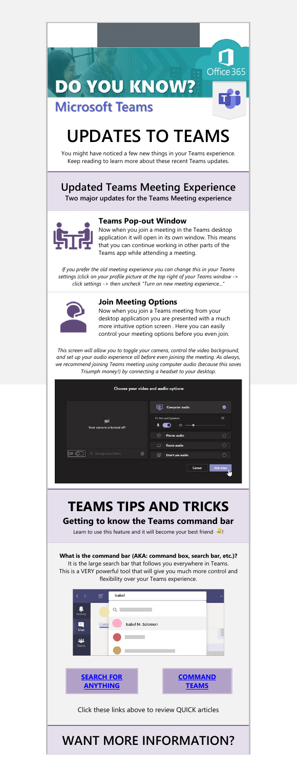### **DO YOU KNOW? Microsoft Teams**

# **UPDATES TO TEAMS**

Office 365

You might have noticed a few new things in your Teams experience. Keep reading to learn more about these recent Teams updates.

### **Updated Teams Meeting Experience**

**Two major updates for the Teams Meeting experience**



#### **Teams Pop-out Window**

Now when you join a meeting in the Teams desktop application it will open in its own window. This means that you can continue working in other parts of the Teams app while attending a meeting.

*If you prefer the old meeting experience you can change this in your Teams settings (click on your profile picture at the top right of your Teams window -> click settings -> then uncheck "Turn on new meeting experience..."*



#### **Join Meeting Options**

Now when you join a Teams meeting from your desktop application you are presented with a much more intuitive option screen . Here you can easily control your meeting options before you even join.

*This screen will allow you to toggle your camera, control the video background, and set up your audio experience all before even joining the meeting. As always, we recommend joining Teams meeting using computer audio (because this saves Triumph money!) by connecting a headset to your desktop.*

|                            | Choose your video and audio options |   |
|----------------------------|-------------------------------------|---|
| Your camera is turned off. | <b>Computer audio</b><br>44         | ø |
|                            | PC Mic and Speakers<br>CD           | 掛 |
|                            | Phone audio                         |   |